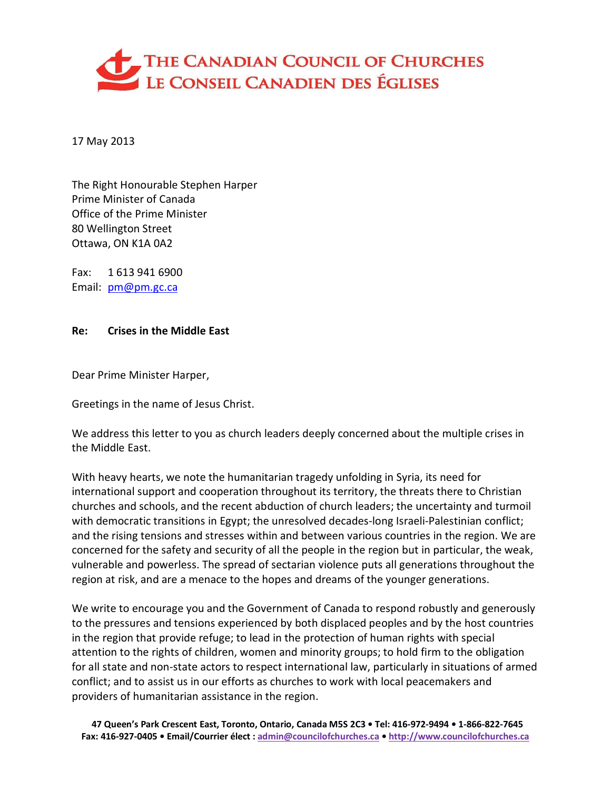## THE CANADIAN COUNCIL OF CHURCHES LE CONSEIL CANADIEN DES ÉGLISES

17 May 2013

The Right Honourable Stephen Harper Prime Minister of Canada Office of the Prime Minister 80 Wellington Street Ottawa, ON K1A 0A2

Fax: 1 613 941 6900 Email: pm@pm.gc.ca

## **Re: Crises in the Middle East**

Dear Prime Minister Harper,

Greetings in the name of Jesus Christ.

We address this letter to you as church leaders deeply concerned about the multiple crises in the Middle East.

With heavy hearts, we note the humanitarian tragedy unfolding in Syria, its need for international support and cooperation throughout its territory, the threats there to Christian churches and schools, and the recent abduction of church leaders; the uncertainty and turmoil with democratic transitions in Egypt; the unresolved decades-long Israeli-Palestinian conflict; and the rising tensions and stresses within and between various countries in the region. We are concerned for the safety and security of all the people in the region but in particular, the weak, vulnerable and powerless. The spread of sectarian violence puts all generations throughout the region at risk, and are a menace to the hopes and dreams of the younger generations.

We write to encourage you and the Government of Canada to respond robustly and generously to the pressures and tensions experienced by both displaced peoples and by the host countries in the region that provide refuge; to lead in the protection of human rights with special attention to the rights of children, women and minority groups; to hold firm to the obligation for all state and non-state actors to respect international law, particularly in situations of armed conflict; and to assist us in our efforts as churches to work with local peacemakers and providers of humanitarian assistance in the region.

**47 Queen's Park Crescent East, Toronto, Ontario, Canada M5S 2C3 • Tel: 416-972-9494 • 1-866-822-7645 Fax: 416-927-0405 • Email/Courrier élect : admin@councilofchurches.ca • http://www.councilofchurches.ca**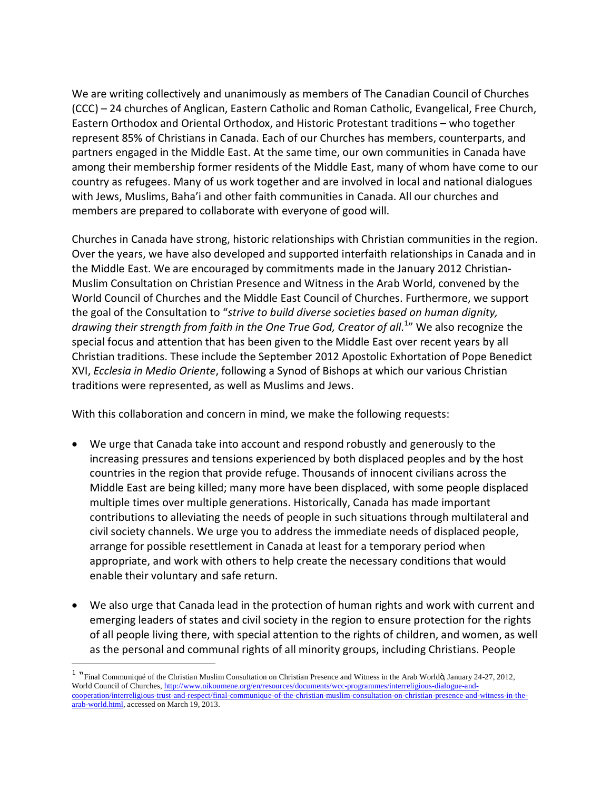We are writing collectively and unanimously as members of The Canadian Council of Churches (CCC) – 24 churches of Anglican, Eastern Catholic and Roman Catholic, Evangelical, Free Church, Eastern Orthodox and Oriental Orthodox, and Historic Protestant traditions – who together represent 85% of Christians in Canada. Each of our Churches has members, counterparts, and partners engaged in the Middle East. At the same time, our own communities in Canada have among their membership former residents of the Middle East, many of whom have come to our country as refugees. Many of us work together and are involved in local and national dialogues with Jews, Muslims, Baha'i and other faith communities in Canada. All our churches and members are prepared to collaborate with everyone of good will.

Churches in Canada have strong, historic relationships with Christian communities in the region. Over the years, we have also developed and supported interfaith relationships in Canada and in the Middle East. We are encouraged by commitments made in the January 2012 Christian-Muslim Consultation on Christian Presence and Witness in the Arab World, convened by the World Council of Churches and the Middle East Council of Churches. Furthermore, we support the goal of the Consultation to "*strive to build diverse societies based on human dignity, drawing their strength from faith in the One True God, Creator of all*. 1 " We also recognize the special focus and attention that has been given to the Middle East over recent years by all Christian traditions. These include the September 2012 Apostolic Exhortation of Pope Benedict XVI, *Ecclesia in Medio Oriente*, following a Synod of Bishops at which our various Christian traditions were represented, as well as Muslims and Jews.

With this collaboration and concern in mind, we make the following requests:

- · We urge that Canada take into account and respond robustly and generously to the increasing pressures and tensions experienced by both displaced peoples and by the host countries in the region that provide refuge. Thousands of innocent civilians across the Middle East are being killed; many more have been displaced, with some people displaced multiple times over multiple generations. Historically, Canada has made important contributions to alleviating the needs of people in such situations through multilateral and civil society channels. We urge you to address the immediate needs of displaced people, arrange for possible resettlement in Canada at least for a temporary period when appropriate, and work with others to help create the necessary conditions that would enable their voluntary and safe return.
- · We also urge that Canada lead in the protection of human rights and work with current and emerging leaders of states and civil society in the region to ensure protection for the rights of all people living there, with special attention to the rights of children, and women, as well as the personal and communal rights of all minority groups, including Christians. People

-

<sup>&</sup>lt;sup>1</sup> "Final Communiqué of the Christian Muslim Consultation on Christian Presence and Witness in the Arab Worldö, January 24-27, 2012, World Council of Churches, http://www.oikoumene.org/en/resources/documents/wcc-programmes/interreligious-dialogue-andcooperation/interreligious-trust-and-respect/final-communique-of-the-christian-muslim-consultation-on-christian-presence-and-witness-in-thearab-world.html, accessed on March 19, 2013.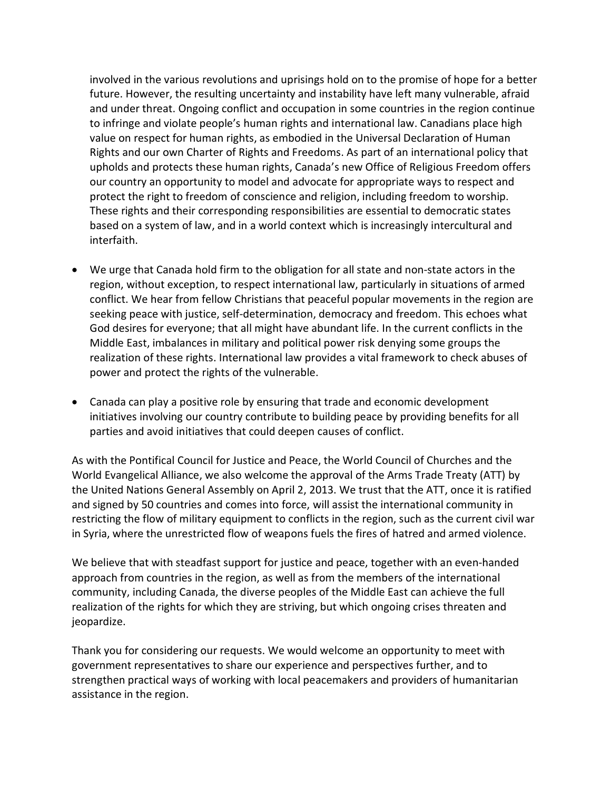involved in the various revolutions and uprisings hold on to the promise of hope for a better future. However, the resulting uncertainty and instability have left many vulnerable, afraid and under threat. Ongoing conflict and occupation in some countries in the region continue to infringe and violate people's human rights and international law. Canadians place high value on respect for human rights, as embodied in the Universal Declaration of Human Rights and our own Charter of Rights and Freedoms. As part of an international policy that upholds and protects these human rights, Canada's new Office of Religious Freedom offers our country an opportunity to model and advocate for appropriate ways to respect and protect the right to freedom of conscience and religion, including freedom to worship. These rights and their corresponding responsibilities are essential to democratic states based on a system of law, and in a world context which is increasingly intercultural and interfaith.

- · We urge that Canada hold firm to the obligation for all state and non-state actors in the region, without exception, to respect international law, particularly in situations of armed conflict. We hear from fellow Christians that peaceful popular movements in the region are seeking peace with justice, self-determination, democracy and freedom. This echoes what God desires for everyone; that all might have abundant life. In the current conflicts in the Middle East, imbalances in military and political power risk denying some groups the realization of these rights. International law provides a vital framework to check abuses of power and protect the rights of the vulnerable.
- · Canada can play a positive role by ensuring that trade and economic development initiatives involving our country contribute to building peace by providing benefits for all parties and avoid initiatives that could deepen causes of conflict.

As with the Pontifical Council for Justice and Peace, the World Council of Churches and the World Evangelical Alliance, we also welcome the approval of the Arms Trade Treaty (ATT) by the United Nations General Assembly on April 2, 2013. We trust that the ATT, once it is ratified and signed by 50 countries and comes into force, will assist the international community in restricting the flow of military equipment to conflicts in the region, such as the current civil war in Syria, where the unrestricted flow of weapons fuels the fires of hatred and armed violence.

We believe that with steadfast support for justice and peace, together with an even-handed approach from countries in the region, as well as from the members of the international community, including Canada, the diverse peoples of the Middle East can achieve the full realization of the rights for which they are striving, but which ongoing crises threaten and jeopardize.

Thank you for considering our requests. We would welcome an opportunity to meet with government representatives to share our experience and perspectives further, and to strengthen practical ways of working with local peacemakers and providers of humanitarian assistance in the region.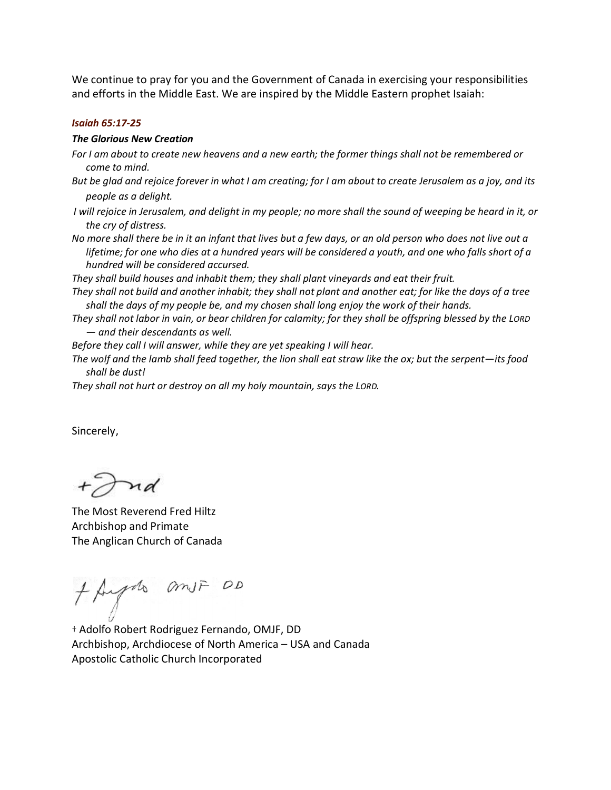We continue to pray for you and the Government of Canada in exercising your responsibilities and efforts in the Middle East. We are inspired by the Middle Eastern prophet Isaiah:

## *Isaiah 65:17-25*

## *The Glorious New Creation*

*For I am about to create new heavens and a new earth; the former things shall not be remembered or come to mind.*

*But be glad and rejoice forever in what I am creating; for I am about to create Jerusalem as a joy, and its people as a delight.* 

*I will rejoice in Jerusalem, and delight in my people; no more shall the sound of weeping be heard in it, or the cry of distress.*

*No more shall there be in it an infant that lives but a few days, or an old person who does not live out a lifetime; for one who dies at a hundred years will be considered a youth, and one who falls short of a hundred will be considered accursed.*

*They shall build houses and inhabit them; they shall plant vineyards and eat their fruit.*

*They shall not build and another inhabit; they shall not plant and another eat; for like the days of a tree shall the days of my people be, and my chosen shall long enjoy the work of their hands.*

*They shall not labor in vain, or bear children for calamity; for they shall be offspring blessed by the LORD — and their descendants as well.*

*Before they call I will answer, while they are yet speaking I will hear.*

*The wolf and the lamb shall feed together, the lion shall eat straw like the ox; but the serpent—its food shall be dust!*

*They shall not hurt or destroy on all my holy mountain, says the LORD.*

Sincerely,

 $+$  and

The Most Reverend Fred Hiltz Archbishop and Primate The Anglican Church of Canada

+ August ansF DD

† Adolfo Robert Rodriguez Fernando, OMJF, DD Archbishop, Archdiocese of North America – USA and Canada Apostolic Catholic Church Incorporated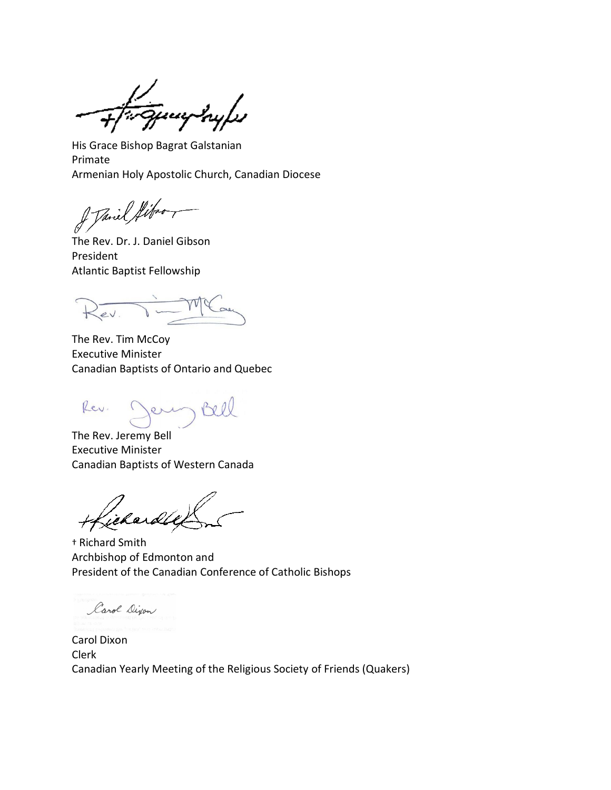aay ing Ju

His Grace Bishop Bagrat Galstanian Primate Armenian Holy Apostolic Church, Canadian Diocese

of Taniel Siboon

The Rev. Dr. J. Daniel Gibson President Atlantic Baptist Fellowship

ev.

The Rev. Tim McCoy Executive Minister Canadian Baptists of Ontario and Quebec

Jerry Bell Rev.

The Rev. Jeremy Bell Executive Minister Canadian Baptists of Western Canada

jekardik

† Richard Smith Archbishop of Edmonton and President of the Canadian Conference of Catholic Bishops

Carol Dixon

Carol Dixon Clerk Canadian Yearly Meeting of the Religious Society of Friends (Quakers)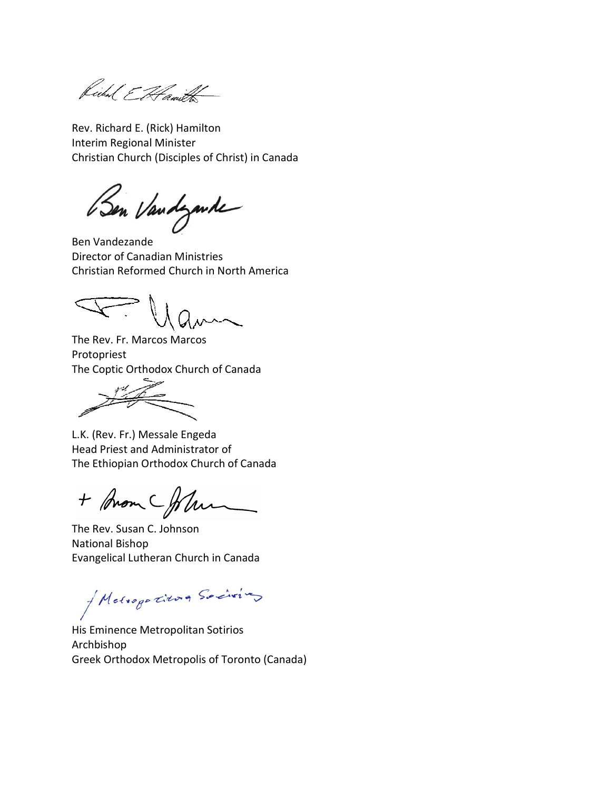Richal E Hamilt

Rev. Richard E. (Rick) Hamilton Interim Regional Minister Christian Church (Disciples of Christ) in Canada

Ben Vandywke

Ben Vandezande Director of Canadian Ministries Christian Reformed Church in North America

The Rev. Fr. Marcos Marcos Protopriest The Coptic Orthodox Church of Canada

L.K. (Rev. Fr.) Messale Engeda Head Priest and Administrator of The Ethiopian Orthodox Church of Canada

+ Brom Cfolur

The Rev. Susan C. Johnson National Bishop Evangelical Lutheran Church in Canada

/ Melosgotiton Secretary

His Eminence Metropolitan Sotirios Archbishop Greek Orthodox Metropolis of Toronto (Canada)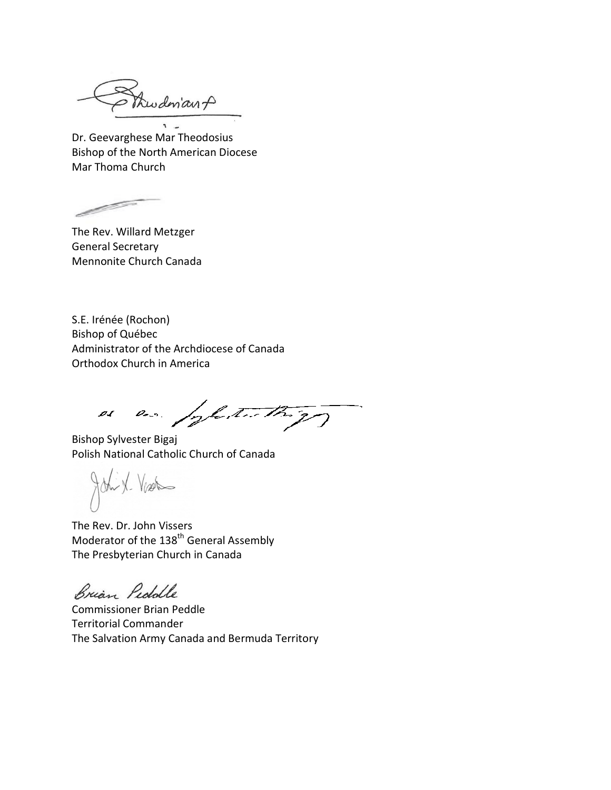Ludovian+

Dr. Geevarghese Mar Theodosius Bishop of the North American Diocese Mar Thoma Church

<u>f</u> de la completa de la completa de la completa de la completa de la completa de la completa de la completa de la completa de la completa de la completa de la completa de la completa de la completa de la completa de la co

The Rev. Willard Metzger General Secretary Mennonite Church Canada

S.E. Irénée (Rochon) Bishop of Québec Administrator of the Archdiocese of Canada Orthodox Church in America

es en politichigo

Bishop Sylvester Bigaj Polish National Catholic Church of Canada

John X- Vest

The Rev. Dr. John Vissers Moderator of the 138<sup>th</sup> General Assembly The Presbyterian Church in Canada

Brian Peddle

Commissioner Brian Peddle Territorial Commander The Salvation Army Canada and Bermuda Territory